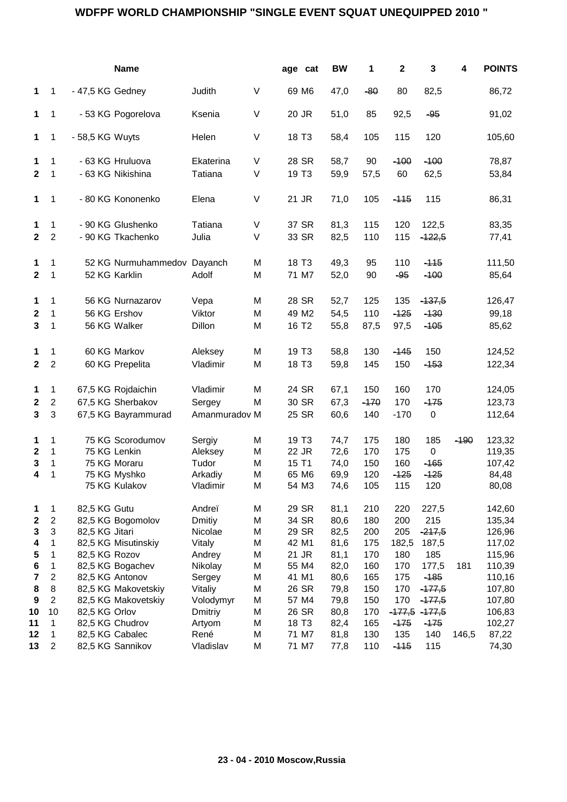## **WDFPF WORLD CHAMPIONSHIP "SINGLE EVENT SQUAT UNEQUIPPED 2010 "**

|                         |                     |                  | <b>Name</b>                         |                   |        | age cat           | <b>BW</b> | 1          | $\mathbf 2$   | 3                | 4      | <b>POINTS</b> |
|-------------------------|---------------------|------------------|-------------------------------------|-------------------|--------|-------------------|-----------|------------|---------------|------------------|--------|---------------|
| 1                       | $\mathbf{1}$        | - 47,5 KG Gedney |                                     | Judith            | V      | 69 M6             | 47,0      | $-80$      | 80            | 82,5             |        | 86,72         |
| 1                       | 1                   |                  | - 53 KG Pogorelova                  | Ksenia            | V      | 20 JR             | 51,0      | 85         | 92,5          | $-95$            |        | 91,02         |
| 1                       | 1                   | - 58,5 KG Wuyts  |                                     | Helen             | V      | 18 T <sub>3</sub> | 58,4      | 105        | 115           | 120              |        | 105,60        |
| 1                       | 1                   |                  | - 63 KG Hruluova                    | Ekaterina         | V      | 28 SR             | 58,7      | 90         | $-100$        | $-100$           |        | 78,87         |
| $\mathbf{2}$            | 1                   |                  | - 63 KG Nikishina                   | Tatiana           | $\vee$ | 19 T <sub>3</sub> | 59,9      | 57,5       | 60            | 62,5             |        | 53,84         |
| 1                       | 1                   |                  | - 80 KG Kononenko                   | Elena             | V      | 21 JR             | 71,0      | 105        | $-115$        | 115              |        | 86,31         |
| 1                       | 1                   |                  | - 90 KG Glushenko                   | Tatiana           | V      | 37 SR             | 81,3      | 115        | 120           | 122,5            |        | 83,35         |
| $\mathbf{2}$            | $\overline{2}$      |                  | - 90 KG Tkachenko                   | Julia             | $\vee$ | 33 SR             | 82,5      | 110        | 115           | $-122,5$         |        | 77,41         |
| 1                       | 1                   |                  | 52 KG Nurmuhammedov                 | Dayanch           | M      | 18 T <sub>3</sub> | 49,3      | 95         | 110           | $-115$           |        | 111,50        |
| $\mathbf{2}$            | 1                   |                  | 52 KG Karklin                       | Adolf             | M      | 71 M7             | 52,0      | 90         | $-95$         | $-100$           |        | 85,64         |
| 1                       | 1                   |                  | 56 KG Nurnazarov                    | Vepa              | M      | 28 SR             | 52,7      | 125        | 135           | $-137,5$         |        | 126,47        |
| 2                       | 1                   |                  | 56 KG Ershov                        | Viktor            | M      | 49 M2             | 54,5      | 110        | $-125$        | $-130$           |        | 99,18         |
| 3                       | 1                   |                  | 56 KG Walker                        | Dillon            | М      | 16 T <sub>2</sub> | 55,8      | 87,5       | 97,5          | $-105$           |        | 85,62         |
| 1                       | 1                   |                  | 60 KG Markov                        | Aleksey           | M      | 19 T <sub>3</sub> | 58,8      | 130        | $-145$        | 150              |        | 124,52        |
| $\mathbf{2}$            | $\boldsymbol{2}$    |                  | 60 KG Prepelita                     | Vladimir          | M      | 18 T <sub>3</sub> | 59,8      | 145        | 150           | $-153$           |        | 122,34        |
| 1                       | 1                   |                  | 67,5 KG Rojdaichin                  | Vladimir          | M      | 24 SR             | 67,1      | 150        | 160           | 170              |        | 124,05        |
| $\mathbf 2$             | $\boldsymbol{2}$    |                  | 67,5 KG Sherbakov                   | Sergey            | M      | 30 SR             | 67,3      | $-170$     | 170           | $-175$           |        | 123,73        |
| $\overline{\mathbf{3}}$ | 3                   |                  | 67,5 KG Bayrammurad                 | Amanmuradov M     |        | 25 SR             | 60,6      | 140        | $-170$        | $\boldsymbol{0}$ |        | 112,64        |
| 1                       | 1                   |                  | 75 KG Scorodumov                    | Sergiy            | M      | 19 T <sub>3</sub> | 74,7      | 175        | 180           | 185              | $-190$ | 123,32        |
| $\mathbf 2$             | 1                   |                  | 75 KG Lenkin                        | Aleksey           | M      | 22 JR             | 72,6      | 170        | 175           | $\pmb{0}$        |        | 119,35        |
| 3                       | 1                   |                  | 75 KG Moraru                        | Tudor             | M      | 15 T1             | 74,0      | 150        | 160           | $-165$           |        | 107,42        |
| 4                       | 1                   |                  | 75 KG Myshko                        | Arkadiy           | М      | 65 M6             | 69,9      | 120        | $-125$        | $-125$           |        | 84,48         |
|                         |                     |                  | 75 KG Kulakov                       | Vladimir          | M      | 54 M3             | 74,6      | 105        | 115           | 120              |        | 80,08         |
| 1                       | 1                   | 82,5 KG Gutu     |                                     | Andreï            | M      | 29 SR             | 81,1      | 210        | 220           | 227,5            |        | 142,60        |
| $\mathbf 2$             | $\overline{c}$      |                  | 82,5 KG Bogomolov                   | <b>Dmitiy</b>     | M      | 34 SR             | 80,6      | 180        | 200           | 215              |        | 135,34        |
| 3                       | $\mathsf 3$         | 82,5 KG Jitari   |                                     | Nicolae           | M      | 29 SR             | 82,5      | 200        | 205           | $-217,5$         |        | 126,96        |
| 4                       | 1                   |                  | 82,5 KG Misutinskiy                 | Vitaly            | M      | 42 M1             | 81,6      | 175        | 182,5         | 187,5            |        | 117,02        |
| 5                       | 1                   | 82,5 KG Rozov    |                                     | Andrey            | M      | 21 JR             | 81,1      | 170        | 180           | 185              |        | 115,96        |
| 6                       | 1                   |                  | 82,5 KG Bogachev                    | Nikolay           | M      | 55 M4             | 82,0      | 160        | 170           | 177,5            | 181    | 110,39        |
| 7                       | $\boldsymbol{2}$    |                  | 82,5 KG Antonov                     | Sergey            | M      | 41 M1             | 80,6      | 165        | 175           | $-185$           |        | 110,16        |
| 8                       | 8                   |                  | 82,5 KG Makovetskiy                 | Vitaliy           | M      | 26 SR             | 79,8      | 150        | 170           | $-477,5$         |        | 107,80        |
| 9                       | $\overline{2}$      |                  | 82,5 KG Makovetskiy                 | Volodymyr         | М      | 57 M4             | 79,8      | 150        | 170           | $-177,5$         |        | 107,80        |
| 10                      | 10                  | 82,5 KG Orlov    |                                     | Dmitriy           | M      | 26 SR             | 80,8      | 170        | $-177,5$      | $-177,5$         |        | 106,83        |
| 11                      | 1                   |                  | 82,5 KG Chudrov                     | Artyom            | M      | 18 T <sub>3</sub> | 82,4      | 165        | $-175$        | $-175$           |        | 102,27        |
| 12<br>13                | 1<br>$\overline{2}$ |                  | 82,5 KG Cabalec<br>82,5 KG Sannikov | René<br>Vladislav | M<br>М | 71 M7<br>71 M7    | 81,8      | 130<br>110 | 135<br>$-115$ | 140<br>115       | 146,5  | 87,22         |
|                         |                     |                  |                                     |                   |        |                   | 77,8      |            |               |                  |        | 74,30         |